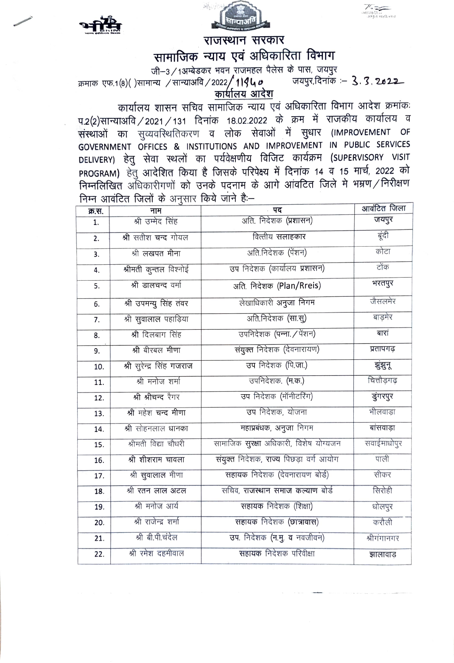

राजस्थान सरकार

सामाजिक न्याय एवं अधिकारिता विभाग

जी-3 / 1अम्बेडकर भवन राजमहल पैलेस के पास, जयपुर

जयपुर,दिनांक : 3.3.2022 क्रमाक एफ.1(8)()सामान्य /सान्याअवि/2022/11940

कार्यालय शासन सचिव सामाजिक न्याय एवं अधिकारिता विभाग आदेश क्रमांकः प.2(2)सान्याअवि / 2021 / 131 दिनांक 18.02.2022 के क्रम में राजकीय कार्यालय व संस्थाओं का सुव्यवरिथतिकरण व लोक सेवाओं में सुधार (IMPROVEMENT OF GOVERNMENT OFFICES & INSTITUTIONS AND IMPROVEMENT IN PUBLIC SERVICES DELIVERY) हेतु सेवा स्थलों का पर्यवेक्षणीय विजिट कार्यक्रम (SUPERVISORY VISIT PROGRAM) हेतु आदेशित किया है जिसके परिपेक्ष्य में दिनांक 14 व 15 मार्च, 2022 को निम्नलिखित अधिकारीगणों को उनके पदनाम के आगे आंवटित जिले मे भम्रण/निरीक्षण निम्न आवंटित जिलों के अनुसार किये जाने हैं:-

| क्र.स.           | नाम                       | पद                                       | आवंटित जिला |
|------------------|---------------------------|------------------------------------------|-------------|
| 1.               | श्री उम्मेद सिंह          | अति. निदेशक (प्रशासन)                    | जयपुर       |
| 2.               | श्री सतीश चन्द गोयल       | वित्तीय सलाहकार                          | बूंदी       |
| 3.               | श्री लखपत मीना            | अति.निदेशक (पेंशन)                       | कोटा        |
| 4.               | श्रीमती कुन्तल विश्नोई    | उप निदेशक (कार्यालय प्रशासन)             | टोंक        |
| 5.               | श्री डालचन्द वर्मा        | अति. निदेशक (Plan/Rreis)                 | भरतपुर      |
| 6.               | श्री उपमन्यु सिंह तंवर    | लेखाधिकारी अनुजा निगम                    | जैसलमेर     |
| $\overline{7}$ . | श्री सुवालाल पहाड़िया     | अति.निदेशक (सा.सु)                       | बाड़मेर     |
| 8.               | श्री दिलबाग सिंह          | उपनिदेशक (पन्ना. / पेंशन)                | बारां       |
| 9.               | श्री बीरबल मीणा           | संयुक्त निदेशक (देवनारायण)               | प्रतापगढ़   |
| 10.              | श्री सुरेन्द्र सिंह गजराज | उप निदेशक (पि.जा.)                       | झुंझुन्     |
| 11.              | श्री मनोज शर्मा           | उपनिदेशक. (म.क.)                         | चित्तौडगढ   |
| 12.              | श्री श्रीचन्द रैगर        | उप निदेशक (मॉनीटरिंग)                    | डुंगरपुर    |
| 13.              | श्री महेश चन्द मीणा       | उप निदेशक, योजना                         | भीलवाड़ा    |
| 14.              | श्री सोहनलाल धानका        | महाप्रबंधक, अनुजा निगम                   | बांसवाड़ा   |
| 15.              | श्रीमती विद्या चौधरी      | सामाजिक सुरक्षा अधिकारी, विशेष योग्यजन   | सवाईमाधोपुर |
| 16.              | श्री शीशराम चावला         | संयुक्त निर्देशक, राज्य पिछड़ा वर्ग आयोग | पाली        |
| 17.              | श्री सुवालाल मीणा         | सहायक निदेशक (देवनारायण बोर्ड)           | सीकर        |
| 18.              | श्री रतन लाल अटल          | सचिव, राजस्थान समाज कल्याण बोर्ड         | सिरोही      |
| 19.              | श्री मनोज आर्य            | सहायक निदेशक (शिक्षा)                    | धोलपुर      |
| 20.              | श्री राजेन्द्र शर्मा      | सहायक निदेशक (छात्रावास)                 | करौली       |
| 21.              | श्री बी.पी.चंदेल          | उप. निदेशक (न.मु. व नवजीवन)              | श्रीगंगानगर |
| 22.              | श्री रमेश दहमीवाल         | सहायक निदेशक परिवीक्षा                   | झालावाड     |